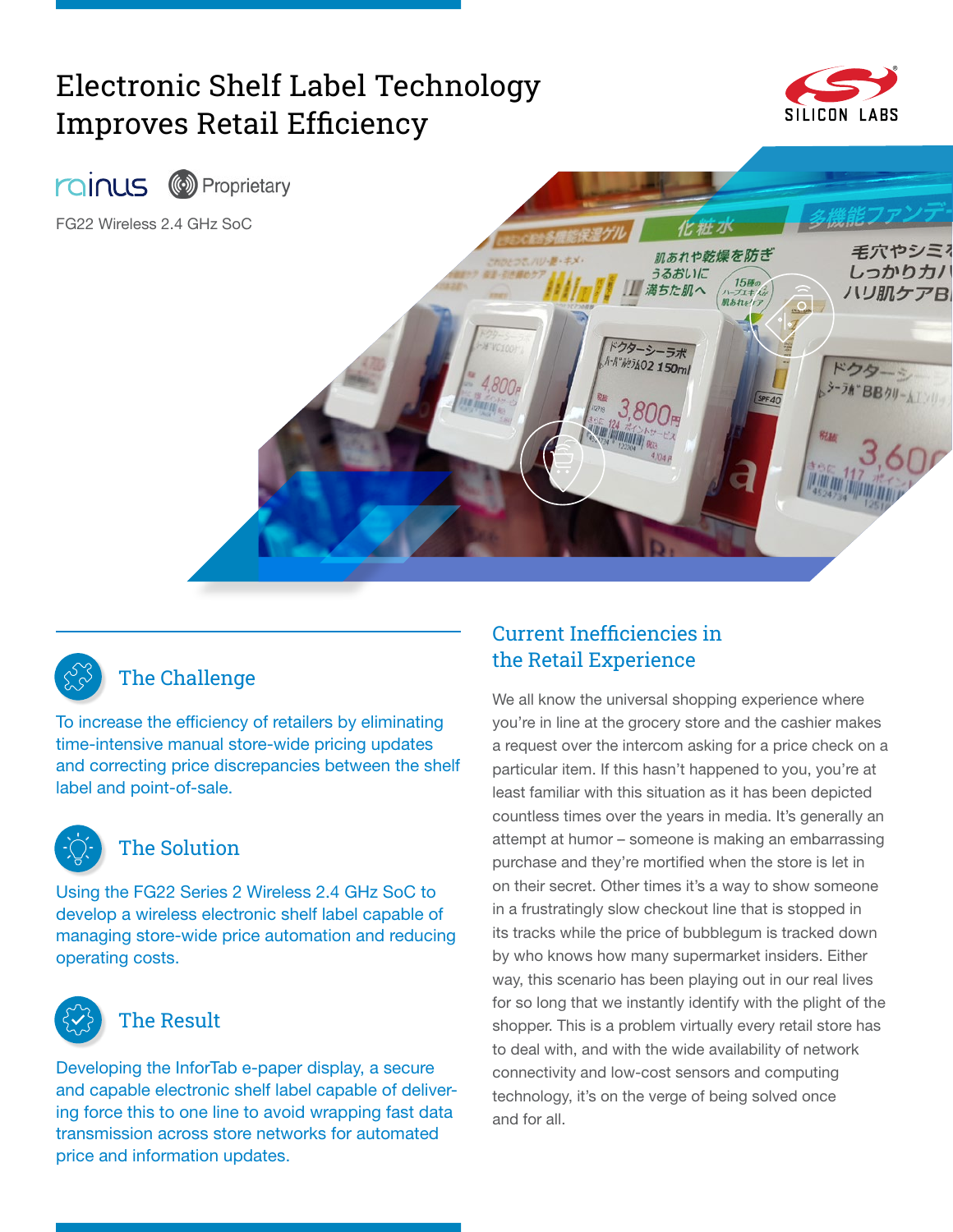# Electronic Shelf Label Technology Improves Retail Efficiency







## The Challenge

To increase the efficiency of retailers by eliminating time-intensive manual store-wide pricing updates and correcting price discrepancies between the shelf label and point-of-sale.



#### The Solution

Using the FG22 Series 2 Wireless 2.4 GHz SoC to develop a wireless electronic shelf label capable of managing store-wide price automation and reducing operating costs.



#### The Result

Developing the InforTab e-paper display, a secure and capable electronic shelf label capable of delivering force this to one line to avoid wrapping fast data transmission across store networks for automated price and information updates.

#### Current Inefficiencies in the Retail Experience

We all know the universal shopping experience where you're in line at the grocery store and the cashier makes a request over the intercom asking for a price check on a particular item. If this hasn't happened to you, you're at least familiar with this situation as it has been depicted countless times over the years in media. It's generally an attempt at humor – someone is making an embarrassing purchase and they're mortified when the store is let in on their secret. Other times it's a way to show someone in a frustratingly slow checkout line that is stopped in its tracks while the price of bubblegum is tracked down by who knows how many supermarket insiders. Either way, this scenario has been playing out in our real lives for so long that we instantly identify with the plight of the shopper. This is a problem virtually every retail store has to deal with, and with the wide availability of network connectivity and low-cost sensors and computing technology, it's on the verge of being solved once and for all.